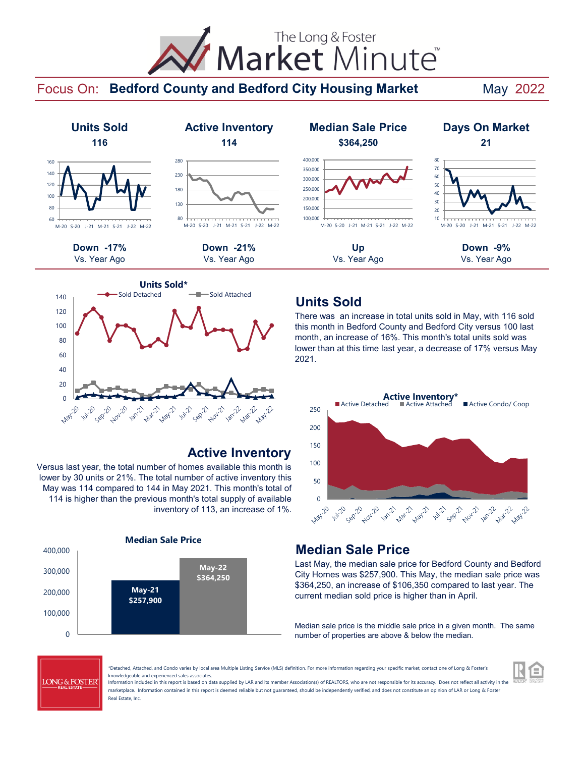# Market Minute The Long & Foster

#### Focus On: Bedford County and Bedford City Housing Market May 2022







## **Active Inventory**

Versus last year, the total number of homes available this month is lower by 30 units or 21%. The total number of active inventory this May was 114 compared to 144 in May 2021. This month's total of 114 is higher than the previous month's total supply of available inventory of 113, an increase of 1%.





## **Units Sold**

There was an increase in total units sold in May, with 116 sold this month in Bedford County and Bedford City versus 100 last month, an increase of 16%. This month's total units sold was lower than at this time last year, a decrease of 17% versus May 2021.



## **Median Sale Price**

Last May, the median sale price for Bedford County and Bedford City Homes was \$257,900. This May, the median sale price was \$364,250, an increase of \$106,350 compared to last year. The current median sold price is higher than in April.

Median sale price is the middle sale price in a given month. The same number of properties are above & below the median.



\*Detached, Attached, and Condo varies by local area Multiple Listing Service (MLS) definition. For more information regarding your specific market, contact one of Long & Foster's knowledgeable and experienced sales associates.

Information included in this report is based on data supplied by LAR and its member Association(s) of REALTORS, who are not responsible for its accuracy. Does not reflect all activity in the marketplace. Information contained in this report is deemed reliable but not quaranteed, should be independently verified, and does not constitute an opinion of LAR or Long & Foster Real Estate, Inc.